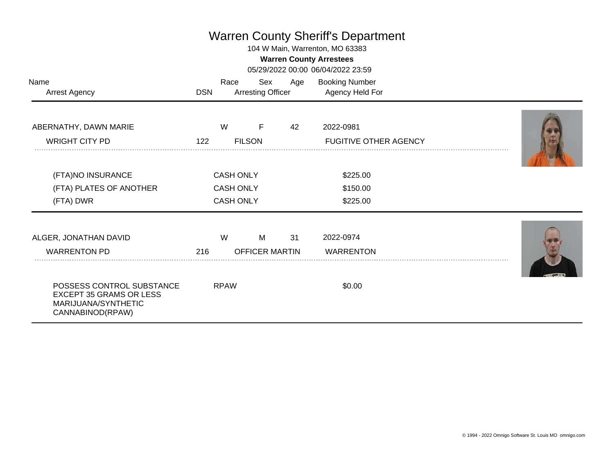## Warren County Sheriff's Department

104 W Main, Warrenton, MO 63383

## **Warren County Arrestees**

05/29/2022 00:00 06/04/2022 23:59

| Name<br><b>Arrest Agency</b>                                                                           | <b>DSN</b> | Race                                                     | Sex<br><b>Arresting Officer</b> | Age | <b>Booking Number</b><br>Agency Held For  |  |
|--------------------------------------------------------------------------------------------------------|------------|----------------------------------------------------------|---------------------------------|-----|-------------------------------------------|--|
| ABERNATHY, DAWN MARIE<br><b>WRIGHT CITY PD</b>                                                         | 122        | W                                                        | F<br><b>FILSON</b>              | 42  | 2022-0981<br><b>FUGITIVE OTHER AGENCY</b> |  |
| (FTA)NO INSURANCE<br>(FTA) PLATES OF ANOTHER<br>(FTA) DWR                                              |            | <b>CASH ONLY</b><br><b>CASH ONLY</b><br><b>CASH ONLY</b> |                                 |     | \$225.00<br>\$150.00<br>\$225.00          |  |
| ALGER, JONATHAN DAVID<br><b>WARRENTON PD</b>                                                           | 216        | W                                                        | M<br><b>OFFICER MARTIN</b>      | 31  | 2022-0974<br><b>WARRENTON</b>             |  |
| POSSESS CONTROL SUBSTANCE<br><b>EXCEPT 35 GRAMS OR LESS</b><br>MARIJUANA/SYNTHETIC<br>CANNABINOD(RPAW) |            | <b>RPAW</b>                                              |                                 |     | \$0.00                                    |  |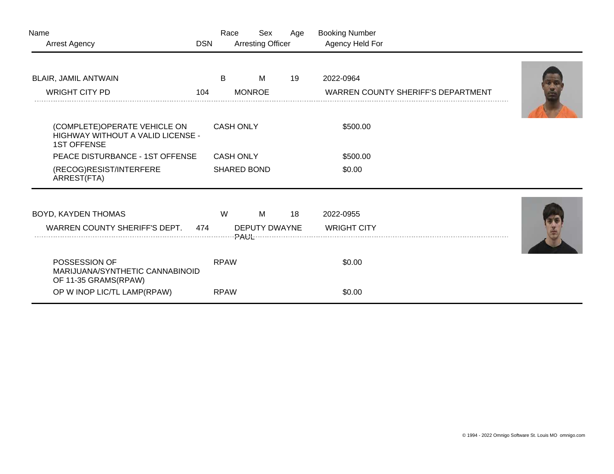| Name<br><b>Arrest Agency</b>                                                            | <b>DSN</b> | Race               | Sex<br><b>Arresting Officer</b> | Age | <b>Booking Number</b><br>Agency Held For |                                           |  |
|-----------------------------------------------------------------------------------------|------------|--------------------|---------------------------------|-----|------------------------------------------|-------------------------------------------|--|
| BLAIR, JAMIL ANTWAIN                                                                    |            | B                  | М                               | 19  | 2022-0964                                |                                           |  |
| <b>WRIGHT CITY PD</b>                                                                   | 104        |                    | <b>MONROE</b>                   |     |                                          | <b>WARREN COUNTY SHERIFF'S DEPARTMENT</b> |  |
| (COMPLETE)OPERATE VEHICLE ON<br>HIGHWAY WITHOUT A VALID LICENSE -<br><b>1ST OFFENSE</b> |            | <b>CASH ONLY</b>   |                                 |     | \$500.00                                 |                                           |  |
| PEACE DISTURBANCE - 1ST OFFENSE                                                         |            | <b>CASH ONLY</b>   |                                 |     | \$500.00                                 |                                           |  |
| (RECOG)RESIST/INTERFERE<br>ARREST(FTA)                                                  |            | <b>SHARED BOND</b> |                                 |     | \$0.00                                   |                                           |  |
| BOYD, KAYDEN THOMAS                                                                     |            | W                  | М                               | 18  | 2022-0955                                |                                           |  |
| WARREN COUNTY SHERIFF'S DEPT.                                                           | 474        |                    | <b>DEPUTY DWAYNE</b>            |     | <b>WRIGHT CITY</b>                       |                                           |  |
| POSSESSION OF<br>MARIJUANA/SYNTHETIC CANNABINOID<br>OF 11-35 GRAMS(RPAW)                |            | <b>RPAW</b>        |                                 |     | \$0.00                                   |                                           |  |
| OP W INOP LIC/TL LAMP(RPAW)                                                             |            | <b>RPAW</b>        |                                 |     | \$0.00                                   |                                           |  |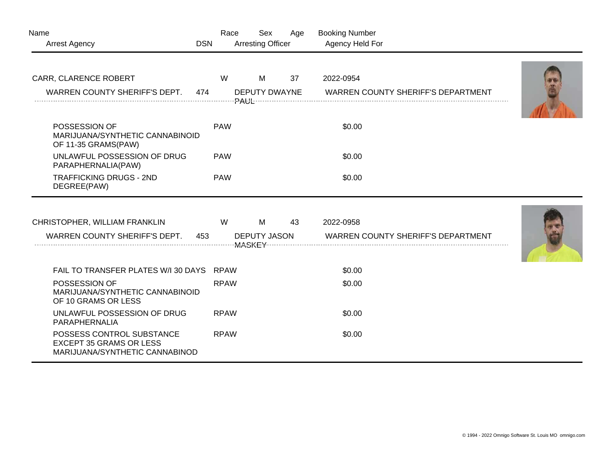| Name<br><b>Arrest Agency</b>                                                                  | <b>DSN</b> | Race        | Sex<br><b>Arresting Officer</b> | Age | <b>Booking Number</b><br>Agency Held For |                                           |  |
|-----------------------------------------------------------------------------------------------|------------|-------------|---------------------------------|-----|------------------------------------------|-------------------------------------------|--|
|                                                                                               |            |             |                                 |     |                                          |                                           |  |
| CARR, CLARENCE ROBERT                                                                         |            | W           | M                               | 37  | 2022-0954                                |                                           |  |
| WARREN COUNTY SHERIFF'S DEPT.                                                                 | 474        |             | DEPUTY DWAYNE                   |     |                                          | WARREN COUNTY SHERIFF'S DEPARTMENT        |  |
|                                                                                               |            |             |                                 |     |                                          |                                           |  |
| POSSESSION OF<br>MARIJUANA/SYNTHETIC CANNABINOID<br>OF 11-35 GRAMS(PAW)                       |            | <b>PAW</b>  |                                 |     | \$0.00                                   |                                           |  |
| UNLAWFUL POSSESSION OF DRUG<br>PARAPHERNALIA(PAW)                                             |            | <b>PAW</b>  |                                 |     | \$0.00                                   |                                           |  |
| <b>TRAFFICKING DRUGS - 2ND</b><br>DEGREE(PAW)                                                 |            | <b>PAW</b>  |                                 |     | \$0.00                                   |                                           |  |
|                                                                                               |            |             |                                 |     |                                          |                                           |  |
| CHRISTOPHER, WILLIAM FRANKLIN                                                                 |            | W           | M                               | 43  | 2022-0958                                |                                           |  |
| WARREN COUNTY SHERIFF'S DEPT.                                                                 | 453        |             | <b>DEPUTY JASON</b>             |     |                                          | <b>WARREN COUNTY SHERIFF'S DEPARTMENT</b> |  |
| FAIL TO TRANSFER PLATES W/I 30 DAYS                                                           |            | <b>RPAW</b> |                                 |     | \$0.00                                   |                                           |  |
| POSSESSION OF<br>MARIJUANA/SYNTHETIC CANNABINOID<br>OF 10 GRAMS OR LESS                       |            | <b>RPAW</b> |                                 |     | \$0.00                                   |                                           |  |
| UNLAWFUL POSSESSION OF DRUG<br>PARAPHERNALIA                                                  |            | <b>RPAW</b> |                                 |     | \$0.00                                   |                                           |  |
| POSSESS CONTROL SUBSTANCE<br><b>EXCEPT 35 GRAMS OR LESS</b><br>MARIJUANA/SYNTHETIC CANNABINOD |            | <b>RPAW</b> |                                 |     | \$0.00                                   |                                           |  |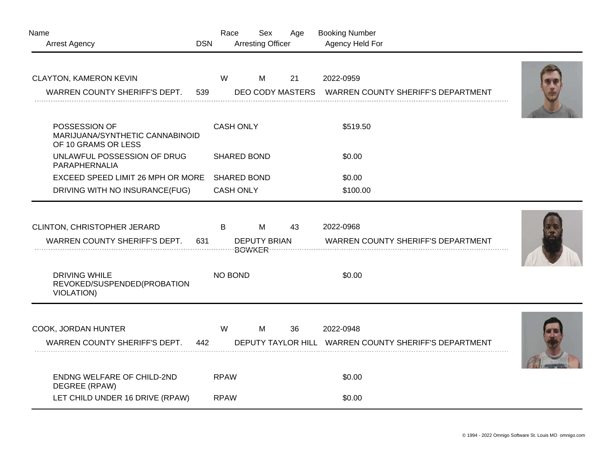| Name<br><b>Arrest Agency</b>                                            | <b>DSN</b> | Race             | Sex<br><b>Arresting Officer</b> |  | Age | <b>Booking Number</b><br>Agency Held For |                                                       |  |
|-------------------------------------------------------------------------|------------|------------------|---------------------------------|--|-----|------------------------------------------|-------------------------------------------------------|--|
| CLAYTON, KAMERON KEVIN<br>WARREN COUNTY SHERIFF'S DEPT.                 | 539        | W                | M                               |  | 21  | 2022-0959                                | DEO CODY MASTERS WARREN COUNTY SHERIFF'S DEPARTMENT   |  |
| POSSESSION OF<br>MARIJUANA/SYNTHETIC CANNABINOID<br>OF 10 GRAMS OR LESS |            | <b>CASH ONLY</b> |                                 |  |     | \$519.50                                 |                                                       |  |
| UNLAWFUL POSSESSION OF DRUG<br>PARAPHERNALIA                            |            |                  | <b>SHARED BOND</b>              |  |     | \$0.00                                   |                                                       |  |
| EXCEED SPEED LIMIT 26 MPH OR MORE                                       |            |                  | <b>SHARED BOND</b>              |  |     | \$0.00                                   |                                                       |  |
| DRIVING WITH NO INSURANCE(FUG)                                          |            | <b>CASH ONLY</b> |                                 |  |     | \$100.00                                 |                                                       |  |
| CLINTON, CHRISTOPHER JERARD<br>WARREN COUNTY SHERIFF'S DEPT.            | 631        | $\mathsf B$      | M<br><b>DEPUTY BRIAN</b>        |  | 43  | 2022-0968                                | <b>WARREN COUNTY SHERIFF'S DEPARTMENT</b>             |  |
| <b>DRIVING WHILE</b><br>REVOKED/SUSPENDED(PROBATION<br>VIOLATION)       |            | NO BOND          |                                 |  |     | \$0.00                                   |                                                       |  |
| COOK, JORDAN HUNTER<br>WARREN COUNTY SHERIFF'S DEPT.                    | 442        | W                | M                               |  | 36  | 2022-0948                                | DEPUTY TAYLOR HILL WARREN COUNTY SHERIFF'S DEPARTMENT |  |
| <b>ENDNG WELFARE OF CHILD-2ND</b><br>DEGREE (RPAW)                      |            | <b>RPAW</b>      |                                 |  |     | \$0.00                                   |                                                       |  |
| LET CHILD UNDER 16 DRIVE (RPAW)                                         |            | <b>RPAW</b>      |                                 |  |     | \$0.00                                   |                                                       |  |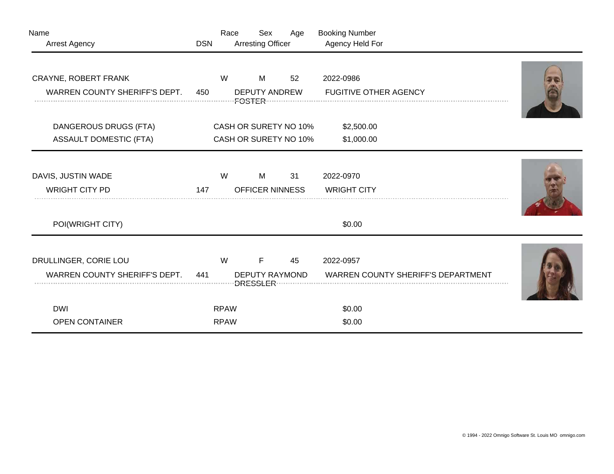| <b>Arrest Agency</b>                 | <b>DSN</b> |             | <b>Arresting Officer</b> |    | Agency Held For                           |  |
|--------------------------------------|------------|-------------|--------------------------|----|-------------------------------------------|--|
|                                      |            |             |                          |    |                                           |  |
| CRAYNE, ROBERT FRANK                 |            | W           | M                        | 52 | 2022-0986                                 |  |
| WARREN COUNTY SHERIFF'S DEPT.        | 450        |             | <b>DEPUTY ANDREW</b>     |    | <b>FUGITIVE OTHER AGENCY</b>              |  |
|                                      |            |             |                          |    |                                           |  |
| <b>DANGEROUS DRUGS (FTA)</b>         |            |             | CASH OR SURETY NO 10%    |    | \$2,500.00                                |  |
| <b>ASSAULT DOMESTIC (FTA)</b>        |            |             | CASH OR SURETY NO 10%    |    | \$1,000.00                                |  |
|                                      |            |             |                          |    |                                           |  |
| DAVIS, JUSTIN WADE                   |            | W           | M                        | 31 | 2022-0970                                 |  |
| <b>WRIGHT CITY PD</b>                | 147        |             | <b>OFFICER NINNESS</b>   |    | <b>WRIGHT CITY</b>                        |  |
|                                      |            |             |                          |    |                                           |  |
| POI(WRIGHT CITY)                     |            |             |                          |    | \$0.00                                    |  |
|                                      |            |             |                          |    |                                           |  |
| DRULLINGER, CORIE LOU                |            | W           | F                        | 45 | 2022-0957                                 |  |
|                                      |            |             |                          |    |                                           |  |
| <b>WARREN COUNTY SHERIFF'S DEPT.</b> | 441        |             | <b>DEPUTY RAYMOND</b>    |    | <b>WARREN COUNTY SHERIFF'S DEPARTMENT</b> |  |
| <b>DWI</b>                           |            | <b>RPAW</b> |                          |    | \$0.00                                    |  |
| <b>OPEN CONTAINER</b>                |            | <b>RPAW</b> |                          |    | \$0.00                                    |  |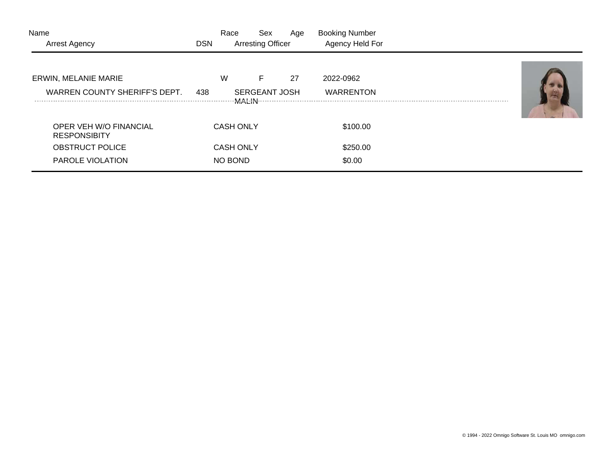| Name<br><b>Arrest Agency</b>                  | <b>DSN</b> | Race             | Sex<br><b>Arresting Officer</b> | Age | <b>Booking Number</b><br>Agency Held For |  |
|-----------------------------------------------|------------|------------------|---------------------------------|-----|------------------------------------------|--|
| <b>ERWIN, MELANIE MARIE</b>                   |            | W                | F                               | 27  | 2022-0962                                |  |
| WARREN COUNTY SHERIFF'S DEPT.                 | 438        | MALIN :          | <b>SERGEANT JOSH</b>            |     | <b>WARRENTON</b>                         |  |
| OPER VEH W/O FINANCIAL<br><b>RESPONSIBITY</b> |            | <b>CASH ONLY</b> |                                 |     | \$100.00                                 |  |
| <b>OBSTRUCT POLICE</b>                        |            | <b>CASH ONLY</b> |                                 |     | \$250.00                                 |  |
| PAROLE VIOLATION                              |            | NO BOND          |                                 |     | \$0.00                                   |  |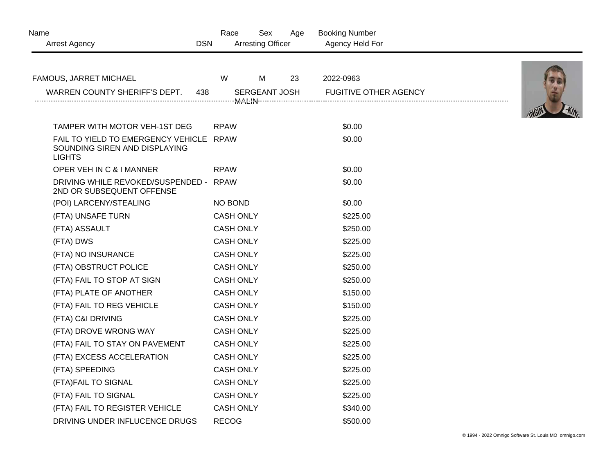| Name                                                                                      | Race             | Sex                      | Age | <b>Booking Number</b>        |  |
|-------------------------------------------------------------------------------------------|------------------|--------------------------|-----|------------------------------|--|
| <b>Arrest Agency</b>                                                                      | <b>DSN</b>       | <b>Arresting Officer</b> |     | Agency Held For              |  |
| FAMOUS, JARRET MICHAEL                                                                    | W                | M                        | 23  | 2022-0963                    |  |
| WARREN COUNTY SHERIFF'S DEPT.                                                             | 438              | SERGEANT JOSH            |     | <b>FUGITIVE OTHER AGENCY</b> |  |
|                                                                                           |                  |                          |     |                              |  |
|                                                                                           |                  |                          |     |                              |  |
| TAMPER WITH MOTOR VEH-1ST DEG                                                             | <b>RPAW</b>      |                          |     | \$0.00                       |  |
| FAIL TO YIELD TO EMERGENCY VEHICLE RPAW<br>SOUNDING SIREN AND DISPLAYING<br><b>LIGHTS</b> |                  |                          |     | \$0.00                       |  |
| OPER VEH IN C & I MANNER                                                                  | <b>RPAW</b>      |                          |     | \$0.00                       |  |
| DRIVING WHILE REVOKED/SUSPENDED - RPAW<br>2ND OR SUBSEQUENT OFFENSE                       |                  |                          |     | \$0.00                       |  |
| (POI) LARCENY/STEALING                                                                    | NO BOND          |                          |     | \$0.00                       |  |
| (FTA) UNSAFE TURN                                                                         | <b>CASH ONLY</b> |                          |     | \$225.00                     |  |
| (FTA) ASSAULT                                                                             | <b>CASH ONLY</b> |                          |     | \$250.00                     |  |
| (FTA) DWS                                                                                 | <b>CASH ONLY</b> |                          |     | \$225.00                     |  |
| (FTA) NO INSURANCE                                                                        | <b>CASH ONLY</b> |                          |     | \$225.00                     |  |
| (FTA) OBSTRUCT POLICE                                                                     | <b>CASH ONLY</b> |                          |     | \$250.00                     |  |
| (FTA) FAIL TO STOP AT SIGN                                                                | <b>CASH ONLY</b> |                          |     | \$250.00                     |  |
| (FTA) PLATE OF ANOTHER                                                                    | <b>CASH ONLY</b> |                          |     | \$150.00                     |  |
| (FTA) FAIL TO REG VEHICLE                                                                 | <b>CASH ONLY</b> |                          |     | \$150.00                     |  |
| (FTA) C&I DRIVING                                                                         | <b>CASH ONLY</b> |                          |     | \$225.00                     |  |
| (FTA) DROVE WRONG WAY                                                                     | <b>CASH ONLY</b> |                          |     | \$225.00                     |  |
| (FTA) FAIL TO STAY ON PAVEMENT                                                            | <b>CASH ONLY</b> |                          |     | \$225.00                     |  |
| (FTA) EXCESS ACCELERATION                                                                 | <b>CASH ONLY</b> |                          |     | \$225.00                     |  |
| (FTA) SPEEDING                                                                            | <b>CASH ONLY</b> |                          |     | \$225.00                     |  |
| (FTA)FAIL TO SIGNAL                                                                       | <b>CASH ONLY</b> |                          |     | \$225.00                     |  |
| (FTA) FAIL TO SIGNAL                                                                      | <b>CASH ONLY</b> |                          |     | \$225.00                     |  |
| (FTA) FAIL TO REGISTER VEHICLE                                                            | <b>CASH ONLY</b> |                          |     | \$340.00                     |  |
| DRIVING UNDER INFLUCENCE DRUGS                                                            | <b>RECOG</b>     |                          |     | \$500.00                     |  |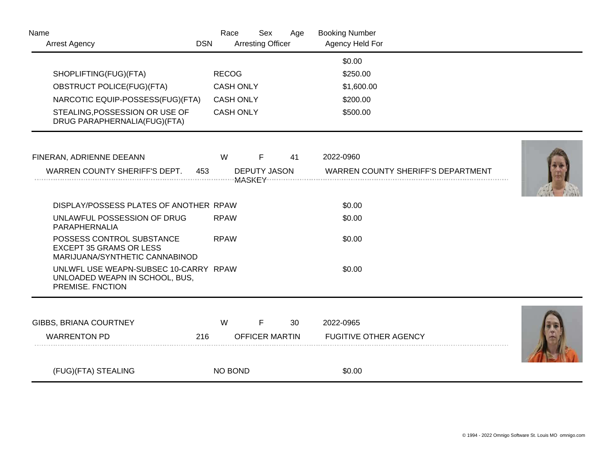| Name<br><b>Arrest Agency</b>                                                                  | <b>DSN</b> | Race             | Sex<br><b>Arresting Officer</b> | Age                   | <b>Booking Number</b><br>Agency Held For  |  |
|-----------------------------------------------------------------------------------------------|------------|------------------|---------------------------------|-----------------------|-------------------------------------------|--|
|                                                                                               |            |                  |                                 |                       | \$0.00                                    |  |
| SHOPLIFTING(FUG)(FTA)                                                                         |            | <b>RECOG</b>     |                                 |                       | \$250.00                                  |  |
| <b>OBSTRUCT POLICE(FUG)(FTA)</b>                                                              |            | <b>CASH ONLY</b> |                                 |                       | \$1,600.00                                |  |
| NARCOTIC EQUIP-POSSESS(FUG)(FTA)                                                              |            | <b>CASH ONLY</b> |                                 |                       | \$200.00                                  |  |
| STEALING, POSSESSION OR USE OF<br>DRUG PARAPHERNALIA(FUG)(FTA)                                |            | <b>CASH ONLY</b> |                                 |                       | \$500.00                                  |  |
| FINERAN, ADRIENNE DEEANN                                                                      |            | W                | F                               | 41                    | 2022-0960                                 |  |
| WARREN COUNTY SHERIFF'S DEPT.                                                                 | 453        |                  | <b>DEPUTY JASON</b>             |                       | <b>WARREN COUNTY SHERIFF'S DEPARTMENT</b> |  |
| DISPLAY/POSSESS PLATES OF ANOTHER RPAW                                                        |            |                  |                                 |                       | \$0.00                                    |  |
| UNLAWFUL POSSESSION OF DRUG<br>PARAPHERNALIA                                                  |            | <b>RPAW</b>      |                                 |                       | \$0.00                                    |  |
| POSSESS CONTROL SUBSTANCE<br><b>EXCEPT 35 GRAMS OR LESS</b><br>MARIJUANA/SYNTHETIC CANNABINOD |            | <b>RPAW</b>      |                                 |                       | \$0.00                                    |  |
| UNLWFL USE WEAPN-SUBSEC 10-CARRY RPAW<br>UNLOADED WEAPN IN SCHOOL, BUS,<br>PREMISE. FNCTION   |            |                  |                                 |                       | \$0.00                                    |  |
| GIBBS, BRIANA COURTNEY                                                                        |            | W                | F                               | 30                    | 2022-0965                                 |  |
| <b>WARRENTON PD</b>                                                                           | 216        |                  |                                 | <b>OFFICER MARTIN</b> | <b>FUGITIVE OTHER AGENCY</b>              |  |
| (FUG)(FTA) STEALING                                                                           |            | NO BOND          |                                 |                       | \$0.00                                    |  |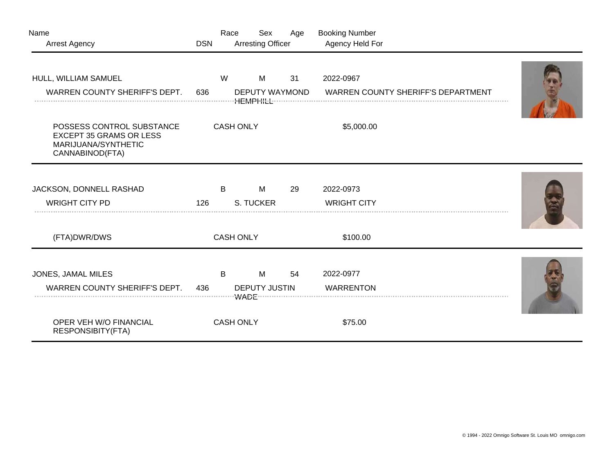| Name                                                                                                  |                  | Race             | Sex                      | Age | <b>Booking Number</b>                     |  |
|-------------------------------------------------------------------------------------------------------|------------------|------------------|--------------------------|-----|-------------------------------------------|--|
| <b>Arrest Agency</b>                                                                                  | <b>DSN</b>       |                  | <b>Arresting Officer</b> |     | Agency Held For                           |  |
| HULL, WILLIAM SAMUEL                                                                                  |                  | W                | M                        | 31  | 2022-0967                                 |  |
| WARREN COUNTY SHERIFF'S DEPT.                                                                         | 636              |                  | DEPUTY WAYMOND           |     | <b>WARREN COUNTY SHERIFF'S DEPARTMENT</b> |  |
|                                                                                                       |                  |                  |                          |     |                                           |  |
| POSSESS CONTROL SUBSTANCE<br><b>EXCEPT 35 GRAMS OR LESS</b><br>MARIJUANA/SYNTHETIC<br>CANNABINOD(FTA) |                  | <b>CASH ONLY</b> |                          |     | \$5,000.00                                |  |
| JACKSON, DONNELL RASHAD                                                                               |                  | B                | M                        | 29  | 2022-0973                                 |  |
| <b>WRIGHT CITY PD</b>                                                                                 |                  |                  |                          |     |                                           |  |
|                                                                                                       | 126              |                  | S. TUCKER                |     | <b>WRIGHT CITY</b>                        |  |
| (FTA)DWR/DWS                                                                                          | <b>CASH ONLY</b> |                  |                          |     | \$100.00                                  |  |
| JONES, JAMAL MILES                                                                                    |                  | B                | M                        | 54  | 2022-0977                                 |  |
| WARREN COUNTY SHERIFF'S DEPT.                                                                         | 436              |                  | <b>DEPUTY JUSTIN</b>     |     | <b>WARRENTON</b>                          |  |
|                                                                                                       |                  |                  |                          |     |                                           |  |
| OPER VEH W/O FINANCIAL<br><b>RESPONSIBITY(FTA)</b>                                                    |                  | <b>CASH ONLY</b> |                          |     | \$75.00                                   |  |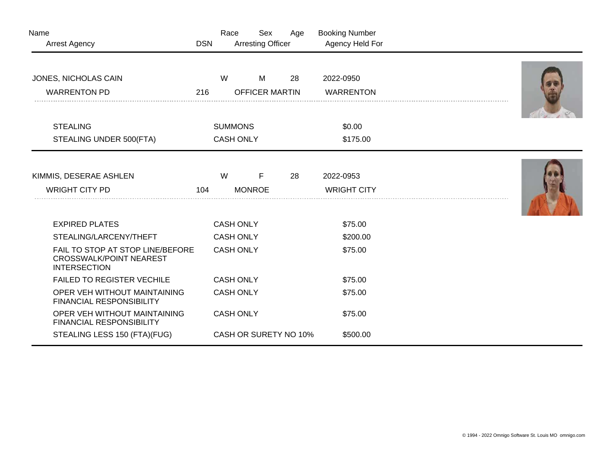| Name<br><b>Arrest Agency</b>                                                              | <b>DSN</b> | Race                  | Sex<br><b>Arresting Officer</b> | Age | <b>Booking Number</b><br>Agency Held For |  |
|-------------------------------------------------------------------------------------------|------------|-----------------------|---------------------------------|-----|------------------------------------------|--|
| JONES, NICHOLAS CAIN                                                                      |            | W                     | M                               | 28  | 2022-0950                                |  |
| <b>WARRENTON PD</b>                                                                       | 216        | <b>OFFICER MARTIN</b> |                                 |     | <b>WARRENTON</b>                         |  |
| <b>STEALING</b>                                                                           |            | <b>SUMMONS</b>        |                                 |     | \$0.00                                   |  |
| STEALING UNDER 500(FTA)                                                                   |            | <b>CASH ONLY</b>      |                                 |     | \$175.00                                 |  |
| KIMMIS, DESERAE ASHLEN<br><b>WRIGHT CITY PD</b>                                           | 104        | W                     | F<br><b>MONROE</b>              | 28  | 2022-0953<br><b>WRIGHT CITY</b>          |  |
| <b>EXPIRED PLATES</b>                                                                     |            | <b>CASH ONLY</b>      |                                 |     | \$75.00                                  |  |
| STEALING/LARCENY/THEFT                                                                    |            | <b>CASH ONLY</b>      |                                 |     | \$200.00                                 |  |
| FAIL TO STOP AT STOP LINE/BEFORE<br><b>CROSSWALK/POINT NEAREST</b><br><b>INTERSECTION</b> |            | <b>CASH ONLY</b>      |                                 |     | \$75.00                                  |  |
| <b>FAILED TO REGISTER VECHILE</b>                                                         |            | <b>CASH ONLY</b>      |                                 |     | \$75.00                                  |  |
| OPER VEH WITHOUT MAINTAINING<br><b>FINANCIAL RESPONSIBILITY</b>                           |            | <b>CASH ONLY</b>      |                                 |     | \$75.00                                  |  |
| OPER VEH WITHOUT MAINTAINING<br><b>FINANCIAL RESPONSIBILITY</b>                           |            | <b>CASH ONLY</b>      |                                 |     | \$75.00                                  |  |
| STEALING LESS 150 (FTA)(FUG)                                                              |            |                       | CASH OR SURETY NO 10%           |     | \$500.00                                 |  |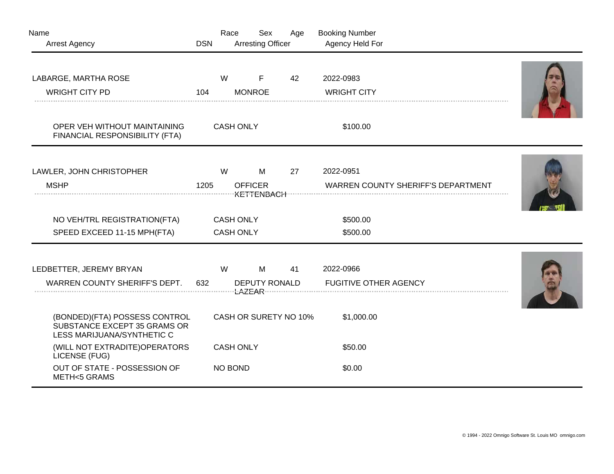| Name<br><b>Arrest Agency</b>                                                                    | <b>DSN</b> | Race                                 | Sex<br><b>Arresting Officer</b>          | Age                   | <b>Booking Number</b><br>Agency Held For               |  |
|-------------------------------------------------------------------------------------------------|------------|--------------------------------------|------------------------------------------|-----------------------|--------------------------------------------------------|--|
| LABARGE, MARTHA ROSE<br><b>WRIGHT CITY PD</b>                                                   | 104        | W                                    | F<br><b>MONROE</b>                       | 42                    | 2022-0983<br><b>WRIGHT CITY</b>                        |  |
| OPER VEH WITHOUT MAINTAINING<br>FINANCIAL RESPONSIBILITY (FTA)                                  |            | <b>CASH ONLY</b>                     |                                          |                       | \$100.00                                               |  |
| LAWLER, JOHN CHRISTOPHER<br><b>MSHP</b>                                                         | 1205       | W                                    | M<br><b>OFFICER</b><br><b>KETTENBACH</b> | 27                    | 2022-0951<br><b>WARREN COUNTY SHERIFF'S DEPARTMENT</b> |  |
| NO VEH/TRL REGISTRATION(FTA)<br>SPEED EXCEED 11-15 MPH(FTA)                                     |            | <b>CASH ONLY</b><br><b>CASH ONLY</b> |                                          |                       | \$500.00<br>\$500.00                                   |  |
| LEDBETTER, JEREMY BRYAN<br>WARREN COUNTY SHERIFF'S DEPT.                                        | 632        | W                                    | M<br><b>DEPUTY RONALD</b>                | 41                    | 2022-0966<br><b>FUGITIVE OTHER AGENCY</b>              |  |
| (BONDED) (FTA) POSSESS CONTROL<br>SUBSTANCE EXCEPT 35 GRAMS OR<br>LESS MARIJUANA/SYNTHETIC C    |            |                                      |                                          | CASH OR SURETY NO 10% | \$1,000.00                                             |  |
| (WILL NOT EXTRADITE) OPERATORS<br>LICENSE (FUG)<br>OUT OF STATE - POSSESSION OF<br>METH<5 GRAMS |            | <b>CASH ONLY</b><br><b>NO BOND</b>   |                                          |                       | \$50.00<br>\$0.00                                      |  |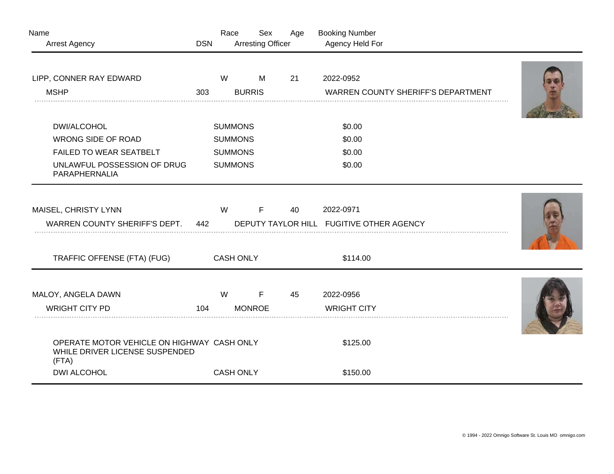| Name                                                                                  |                | Race             | Sex                      | Age    | <b>Booking Number</b>                    |  |
|---------------------------------------------------------------------------------------|----------------|------------------|--------------------------|--------|------------------------------------------|--|
| <b>Arrest Agency</b>                                                                  | <b>DSN</b>     |                  | <b>Arresting Officer</b> |        | Agency Held For                          |  |
|                                                                                       |                |                  |                          |        |                                          |  |
| LIPP, CONNER RAY EDWARD                                                               |                | W                | M                        | 21     | 2022-0952                                |  |
| <b>MSHP</b>                                                                           | 303            |                  | <b>BURRIS</b>            |        | WARREN COUNTY SHERIFF'S DEPARTMENT       |  |
|                                                                                       |                |                  |                          |        |                                          |  |
| DWI/ALCOHOL                                                                           | <b>SUMMONS</b> |                  |                          | \$0.00 |                                          |  |
| <b>WRONG SIDE OF ROAD</b>                                                             |                | <b>SUMMONS</b>   |                          |        | \$0.00                                   |  |
| FAILED TO WEAR SEATBELT                                                               |                | <b>SUMMONS</b>   |                          |        | \$0.00                                   |  |
| UNLAWFUL POSSESSION OF DRUG<br>PARAPHERNALIA                                          |                | <b>SUMMONS</b>   |                          |        | \$0.00                                   |  |
|                                                                                       |                |                  |                          |        |                                          |  |
| MAISEL, CHRISTY LYNN                                                                  |                | W                | F                        | 40     | 2022-0971                                |  |
| WARREN COUNTY SHERIFF'S DEPT.                                                         | 442            |                  |                          |        | DEPUTY TAYLOR HILL FUGITIVE OTHER AGENCY |  |
|                                                                                       |                |                  |                          |        |                                          |  |
| TRAFFIC OFFENSE (FTA) (FUG)                                                           |                | <b>CASH ONLY</b> |                          |        | \$114.00                                 |  |
|                                                                                       |                |                  |                          |        |                                          |  |
| MALOY, ANGELA DAWN                                                                    |                | W                | F                        | 45     | 2022-0956                                |  |
| <b>WRIGHT CITY PD</b>                                                                 | 104            |                  | <b>MONROE</b>            |        | <b>WRIGHT CITY</b>                       |  |
| OPERATE MOTOR VEHICLE ON HIGHWAY CASH ONLY<br>WHILE DRIVER LICENSE SUSPENDED<br>(FTA) |                |                  |                          |        | \$125.00                                 |  |
| <b>DWI ALCOHOL</b>                                                                    |                | <b>CASH ONLY</b> |                          |        | \$150.00                                 |  |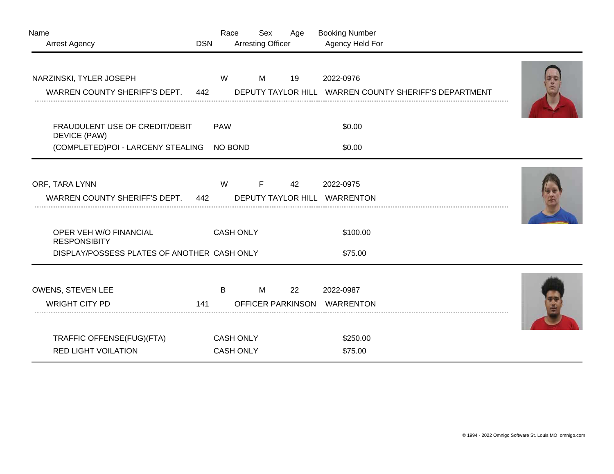| Name<br><b>Arrest Agency</b>                             | <b>DSN</b> | Race       | <b>Arresting Officer</b>             | Sex | Age                            | <b>Booking Number</b><br>Agency Held For                           |  |
|----------------------------------------------------------|------------|------------|--------------------------------------|-----|--------------------------------|--------------------------------------------------------------------|--|
| NARZINSKI, TYLER JOSEPH<br>WARREN COUNTY SHERIFF'S DEPT. | 442        | W          |                                      | М   | 19                             | 2022-0976<br>DEPUTY TAYLOR HILL WARREN COUNTY SHERIFF'S DEPARTMENT |  |
| FRAUDULENT USE OF CREDIT/DEBIT<br>DEVICE (PAW)           |            | <b>PAW</b> |                                      |     |                                | \$0.00                                                             |  |
| (COMPLETED)POI - LARCENY STEALING                        |            | NO BOND    |                                      |     |                                | \$0.00                                                             |  |
| ORF, TARA LYNN<br>WARREN COUNTY SHERIFF'S DEPT.          | 442        | W          |                                      | F   | 42                             | 2022-0975<br>DEPUTY TAYLOR HILL WARRENTON                          |  |
| OPER VEH W/O FINANCIAL<br><b>RESPONSIBITY</b>            |            |            | <b>CASH ONLY</b>                     |     |                                | \$100.00                                                           |  |
| DISPLAY/POSSESS PLATES OF ANOTHER CASH ONLY              |            |            |                                      |     |                                | \$75.00                                                            |  |
| OWENS, STEVEN LEE<br><b>WRIGHT CITY PD</b>               | 141        | B          |                                      | M   | 22<br><b>OFFICER PARKINSON</b> | 2022-0987<br>WARRENTON                                             |  |
| TRAFFIC OFFENSE(FUG)(FTA)<br><b>RED LIGHT VOILATION</b>  |            |            | <b>CASH ONLY</b><br><b>CASH ONLY</b> |     |                                | \$250.00<br>\$75.00                                                |  |
|                                                          |            |            |                                      |     |                                |                                                                    |  |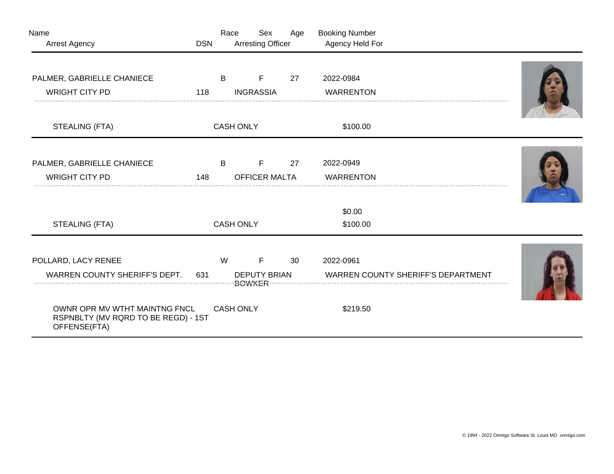| Name                                                |                  | Race             | Sex                      | Age | <b>Booking Number</b>                     |  |  |
|-----------------------------------------------------|------------------|------------------|--------------------------|-----|-------------------------------------------|--|--|
| <b>Arrest Agency</b>                                | <b>DSN</b>       |                  | <b>Arresting Officer</b> |     | Agency Held For                           |  |  |
| PALMER, GABRIELLE CHANIECE                          |                  | B                | F                        | 27  | 2022-0984                                 |  |  |
| <b>WRIGHT CITY PD</b>                               | 118              |                  | <b>INGRASSIA</b>         |     | <b>WARRENTON</b>                          |  |  |
|                                                     |                  |                  |                          |     |                                           |  |  |
| STEALING (FTA)                                      |                  | <b>CASH ONLY</b> |                          |     | \$100.00                                  |  |  |
|                                                     |                  |                  |                          |     |                                           |  |  |
| PALMER, GABRIELLE CHANIECE                          |                  | B                | F                        | 27  | 2022-0949                                 |  |  |
| <b>WRIGHT CITY PD</b>                               | 148              |                  | <b>OFFICER MALTA</b>     |     | <b>WARRENTON</b>                          |  |  |
|                                                     |                  |                  |                          |     |                                           |  |  |
|                                                     |                  |                  |                          |     | \$0.00                                    |  |  |
| STEALING (FTA)                                      | <b>CASH ONLY</b> |                  |                          |     | \$100.00                                  |  |  |
|                                                     |                  |                  |                          |     |                                           |  |  |
| POLLARD, LACY RENEE                                 |                  | W                | $\mathsf{F}$             | 30  | 2022-0961                                 |  |  |
| WARREN COUNTY SHERIFF'S DEPT.                       |                  |                  | <b>DEPUTY BRIAN</b>      |     | <b>WARREN COUNTY SHERIFF'S DEPARTMENT</b> |  |  |
|                                                     |                  |                  |                          |     |                                           |  |  |
| OWNR OPR MV WTHT MAINTNG FNCL                       |                  | <b>CASH ONLY</b> |                          |     | \$219.50                                  |  |  |
| RSPNBLTY (MV RQRD TO BE REGD) - 1ST<br>OFFENSE(FTA) |                  |                  |                          |     |                                           |  |  |
|                                                     |                  |                  |                          |     |                                           |  |  |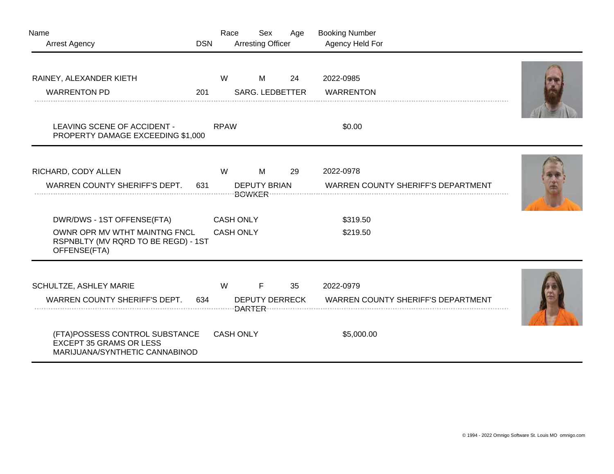| Name<br><b>Arrest Agency</b>                                                                                                                                  | <b>DSN</b> | Race                                 | Sex<br><b>Arresting Officer</b> | Age | <b>Booking Number</b><br>Agency Held For                             |  |
|---------------------------------------------------------------------------------------------------------------------------------------------------------------|------------|--------------------------------------|---------------------------------|-----|----------------------------------------------------------------------|--|
| RAINEY, ALEXANDER KIETH<br><b>WARRENTON PD</b>                                                                                                                | 201        | W                                    | M<br><b>SARG. LEDBETTER</b>     | 24  | 2022-0985<br><b>WARRENTON</b>                                        |  |
| LEAVING SCENE OF ACCIDENT -<br>PROPERTY DAMAGE EXCEEDING \$1,000                                                                                              |            | <b>RPAW</b>                          |                                 |     | \$0.00                                                               |  |
| RICHARD, CODY ALLEN<br><b>WARREN COUNTY SHERIFF'S DEPT.</b>                                                                                                   | 631        | W                                    | M<br><b>DEPUTY BRIAN</b>        | 29  | 2022-0978<br><b>WARREN COUNTY SHERIFF'S DEPARTMENT</b>               |  |
| DWR/DWS - 1ST OFFENSE(FTA)<br>OWNR OPR MV WTHT MAINTNG FNCL<br>RSPNBLTY (MV RQRD TO BE REGD) - 1ST<br>OFFENSE(FTA)                                            |            | <b>CASH ONLY</b><br><b>CASH ONLY</b> |                                 |     | \$319.50<br>\$219.50                                                 |  |
| SCHULTZE, ASHLEY MARIE<br>WARREN COUNTY SHERIFF'S DEPT.<br>(FTA)POSSESS CONTROL SUBSTANCE<br><b>EXCEPT 35 GRAMS OR LESS</b><br>MARIJUANA/SYNTHETIC CANNABINOD | 634        | W<br><b>CASH ONLY</b>                | F<br><b>DEPUTY DERRECK</b>      | 35  | 2022-0979<br><b>WARREN COUNTY SHERIFF'S DEPARTMENT</b><br>\$5,000.00 |  |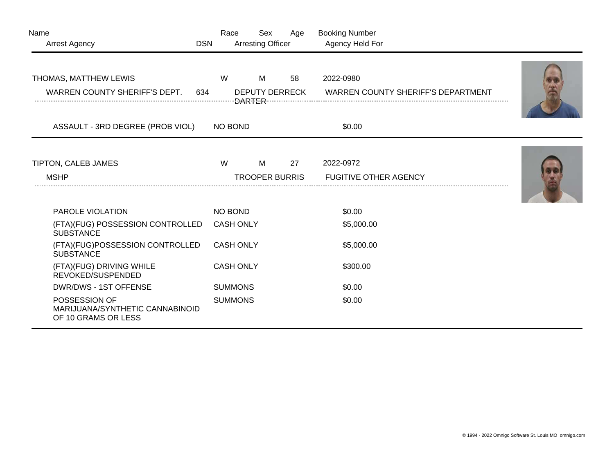| Name<br><b>Arrest Agency</b>                                            | <b>DSN</b> | Race             | Sex<br><b>Arresting Officer</b> | Age | <b>Booking Number</b><br>Agency Held For               |  |
|-------------------------------------------------------------------------|------------|------------------|---------------------------------|-----|--------------------------------------------------------|--|
| THOMAS, MATTHEW LEWIS<br>WARREN COUNTY SHERIFF'S DEPT.                  | 634        | W                | M<br><b>DEPUTY DERRECK</b>      | 58  | 2022-0980<br><b>WARREN COUNTY SHERIFF'S DEPARTMENT</b> |  |
| ASSAULT - 3RD DEGREE (PROB VIOL)                                        |            | <b>NO BOND</b>   |                                 |     | \$0.00                                                 |  |
| TIPTON, CALEB JAMES<br><b>MSHP</b>                                      |            | W                | M<br><b>TROOPER BURRIS</b>      | 27  | 2022-0972<br><b>FUGITIVE OTHER AGENCY</b>              |  |
| PAROLE VIOLATION                                                        |            | NO BOND          |                                 |     | \$0.00                                                 |  |
| (FTA)(FUG) POSSESSION CONTROLLED<br><b>SUBSTANCE</b>                    |            | <b>CASH ONLY</b> |                                 |     | \$5,000.00                                             |  |
| (FTA)(FUG)POSSESSION CONTROLLED<br><b>SUBSTANCE</b>                     |            | <b>CASH ONLY</b> |                                 |     | \$5,000.00                                             |  |
| (FTA)(FUG) DRIVING WHILE<br>REVOKED/SUSPENDED                           |            | <b>CASH ONLY</b> |                                 |     | \$300.00                                               |  |
| DWR/DWS - 1ST OFFENSE                                                   |            | <b>SUMMONS</b>   |                                 |     | \$0.00                                                 |  |
| POSSESSION OF<br>MARIJUANA/SYNTHETIC CANNABINOID<br>OF 10 GRAMS OR LESS |            | <b>SUMMONS</b>   |                                 |     | \$0.00                                                 |  |